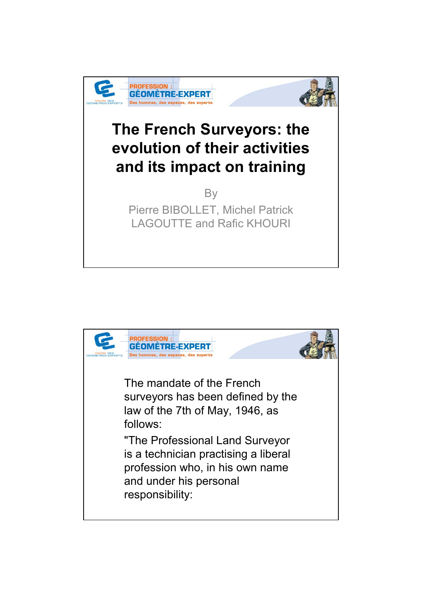



## **The French Surveyors: the evolution of their activities and its impact on training**

**By** Pierre BIBOLLET, Michel Patrick LAGOUTTE and Rafic KHOURI

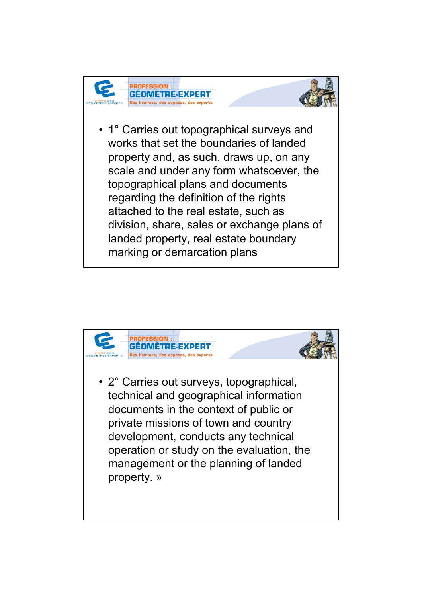



• 1° Carries out topographical surveys and works that set the boundaries of landed property and, as such, draws up, on any scale and under any form whatsoever, the topographical plans and documents regarding the definition of the rights attached to the real estate, such as division, share, sales or exchange plans of landed property, real estate boundary marking or demarcation plans

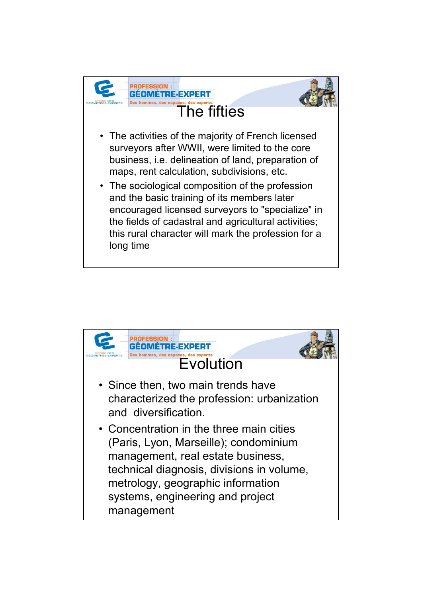

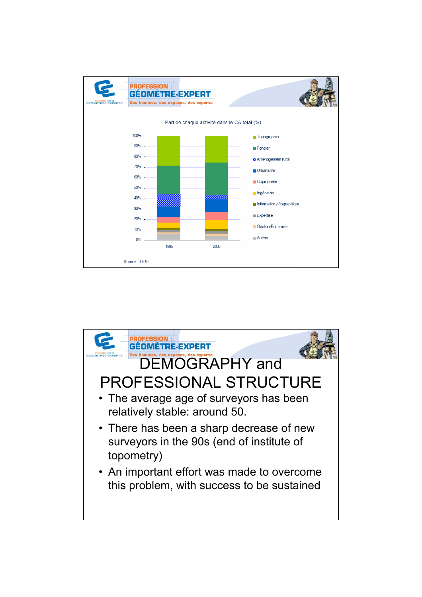

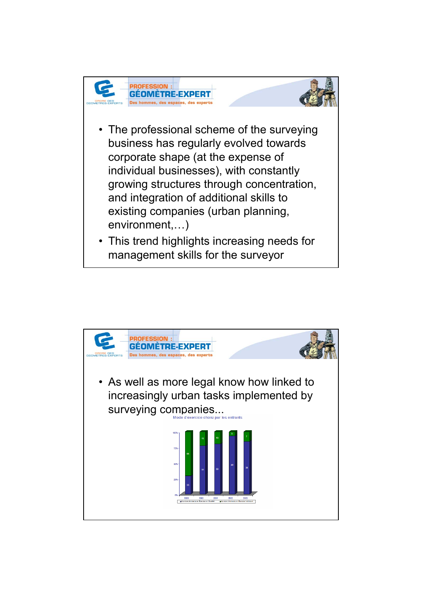



- The professional scheme of the surveying business has regularly evolved towards corporate shape (at the expense of individual businesses), with constantly growing structures through concentration, and integration of additional skills to existing companies (urban planning, environment,…)
- This trend highlights increasing needs for management skills for the surveyor

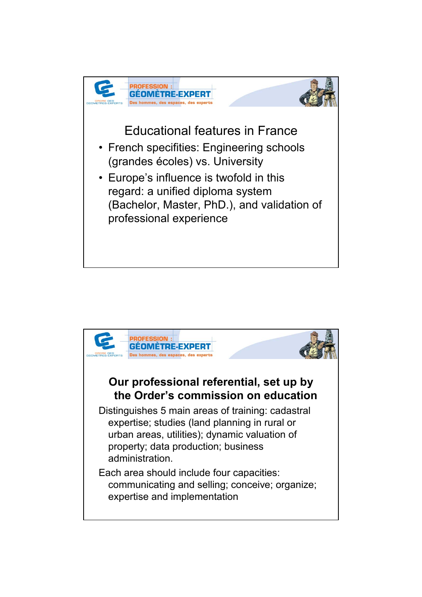

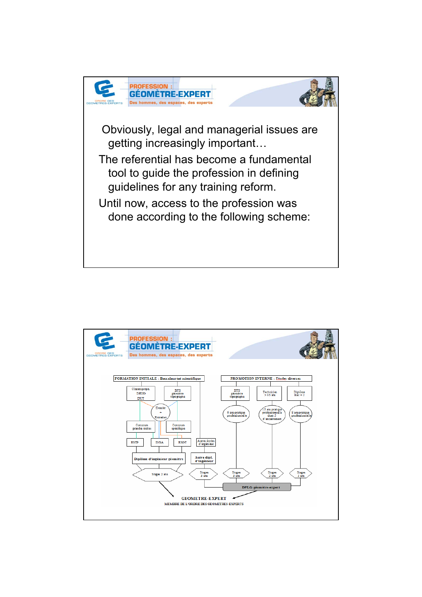

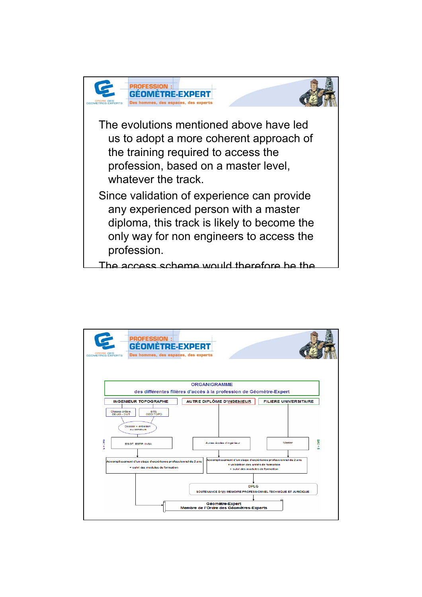